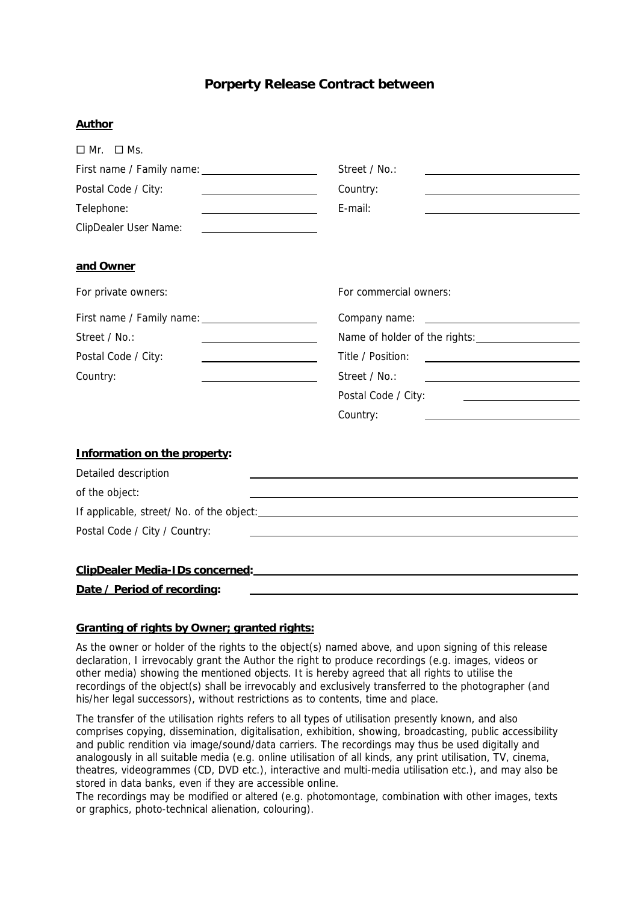## **Porperty Release Contract between**

## **Author**

| $\Box$ Mr. $\Box$ Ms.                                                                                                                       |                                                                                                                                       |
|---------------------------------------------------------------------------------------------------------------------------------------------|---------------------------------------------------------------------------------------------------------------------------------------|
|                                                                                                                                             | Street / No.:                                                                                                                         |
| Postal Code / City:<br><u> 1989 - Johann Barbara, martin a</u>                                                                              | Country:                                                                                                                              |
| Telephone:                                                                                                                                  | E-mail:                                                                                                                               |
| <b>ClipDealer User Name:</b>                                                                                                                |                                                                                                                                       |
| and Owner                                                                                                                                   |                                                                                                                                       |
| For private owners:                                                                                                                         | For commercial owners:                                                                                                                |
| First name / Family name: 1997                                                                                                              |                                                                                                                                       |
| Street / No.:                                                                                                                               |                                                                                                                                       |
| Postal Code / City:<br><u> 1980 - Johann Barn, mars eta bat erroman erroman erroman erroman erroman erroman erroman erroman erroman err</u> | Title / Position:<br><u> 1989 - Johann Stein, mars an de Fran</u>                                                                     |
| Country:                                                                                                                                    | Street / No.:<br><u> 1989 - Johann Barbara, martin amerikan basar dan basa dan basa dan basa dalam basa dalam basa dalam basa dan</u> |
|                                                                                                                                             | Postal Code / City:<br><u> 2008 - John Stone, Amerikaans en Stone († 18</u>                                                           |
|                                                                                                                                             | Country:                                                                                                                              |
| Information on the property:                                                                                                                |                                                                                                                                       |
| Detailed description                                                                                                                        |                                                                                                                                       |
| of the object:                                                                                                                              | <u> 1989 - Johann Barn, mars eta bainar eta bainar eta baina eta baina eta baina eta baina eta baina eta baina e</u>                  |
|                                                                                                                                             |                                                                                                                                       |
| Postal Code / City / Country:                                                                                                               |                                                                                                                                       |
| ClipDealer Media-IDs concerned:                                                                                                             |                                                                                                                                       |
| Date / Period of recording:                                                                                                                 |                                                                                                                                       |

## **Granting of rights by Owner; granted rights:**

As the owner or holder of the rights to the object(s) named above, and upon signing of this release declaration, I irrevocably grant the Author the right to produce recordings (e.g. images, videos or other media) showing the mentioned objects. It is hereby agreed that all rights to utilise the recordings of the object(s) shall be irrevocably and exclusively transferred to the photographer (and his/her legal successors), without restrictions as to contents, time and place.

The transfer of the utilisation rights refers to all types of utilisation presently known, and also comprises copying, dissemination, digitalisation, exhibition, showing, broadcasting, public accessibility and public rendition via image/sound/data carriers. The recordings may thus be used digitally and analogously in all suitable media (e.g. online utilisation of all kinds, any print utilisation, TV, cinema, theatres, videogrammes (CD, DVD etc.), interactive and multi-media utilisation etc.), and may also be stored in data banks, even if they are accessible online.

The recordings may be modified or altered (e.g. photomontage, combination with other images, texts or graphics, photo-technical alienation, colouring).